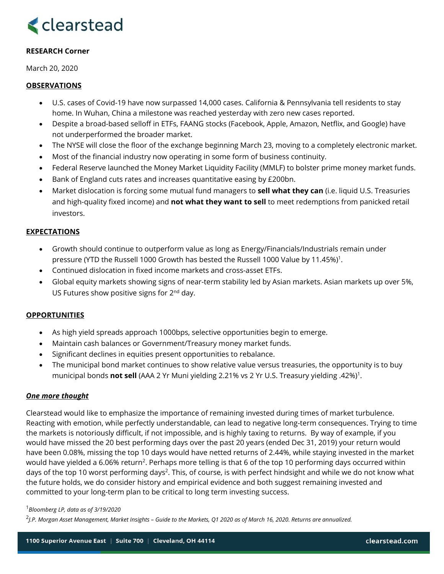# **<clearstead**

# **RESEARCH Corner**

March 20, 2020

### **OBSERVATIONS**

- U.S. cases of Covid-19 have now surpassed 14,000 cases. California & Pennsylvania tell residents to stay home. In Wuhan, China a milestone was reached yesterday with zero new cases reported.
- Despite a broad-based selloff in ETFs, FAANG stocks (Facebook, Apple, Amazon, Netflix, and Google) have not underperformed the broader market.
- The NYSE will close the floor of the exchange beginning March 23, moving to a completely electronic market.
- Most of the financial industry now operating in some form of business continuity.
- Federal Reserve launched the Money Market Liquidity Facility (MMLF) to bolster prime money market funds.
- Bank of England cuts rates and increases quantitative easing by £200bn.
- Market dislocation is forcing some mutual fund managers to **sell what they can** (i.e. liquid U.S. Treasuries and high-quality fixed income) and **not what they want to sell** to meet redemptions from panicked retail investors.

### **EXPECTATIONS**

- Growth should continue to outperform value as long as Energy/Financials/Industrials remain under pressure (YTD the Russell 1000 Growth has bested the Russell 1000 Value by 11.45%)1.
- Continued dislocation in fixed income markets and cross-asset ETFs.
- Global equity markets showing signs of near-term stability led by Asian markets. Asian markets up over 5%, US Futures show positive signs for 2<sup>nd</sup> day.

# **OPPORTUNITIES**

- As high yield spreads approach 1000bps, selective opportunities begin to emerge.
- Maintain cash balances or Government/Treasury money market funds.
- Significant declines in equities present opportunities to rebalance.
- The municipal bond market continues to show relative value versus treasuries, the opportunity is to buy municipal bonds **not sell** (AAA 2 Yr Muni yielding 2.21% vs 2 Yr U.S. Treasury yielding .42%)1.

#### *One more thought*

Clearstead would like to emphasize the importance of remaining invested during times of market turbulence. Reacting with emotion, while perfectly understandable, can lead to negative long-term consequences. Trying to time the markets is notoriously difficult, if not impossible, and is highly taxing to returns. By way of example, if you would have missed the 20 best performing days over the past 20 years (ended Dec 31, 2019) your return would have been 0.08%, missing the top 10 days would have netted returns of 2.44%, while staying invested in the market would have yielded a 6.06% return<sup>2</sup>. Perhaps more telling is that 6 of the top 10 performing days occurred within days of the top 10 worst performing days<sup>2</sup>. This, of course, is with perfect hindsight and while we do not know what the future holds, we do consider history and empirical evidence and both suggest remaining invested and committed to your long-term plan to be critical to long term investing success.

#### <sup>1</sup>*Bloomberg LP, data as of 3/19/2020*

<sup>2</sup>*J.P. Morgan Asset Management, Market Insights – Guide to the Markets, Q1 2020 as of March 16, 2020. Returns are annualized.*